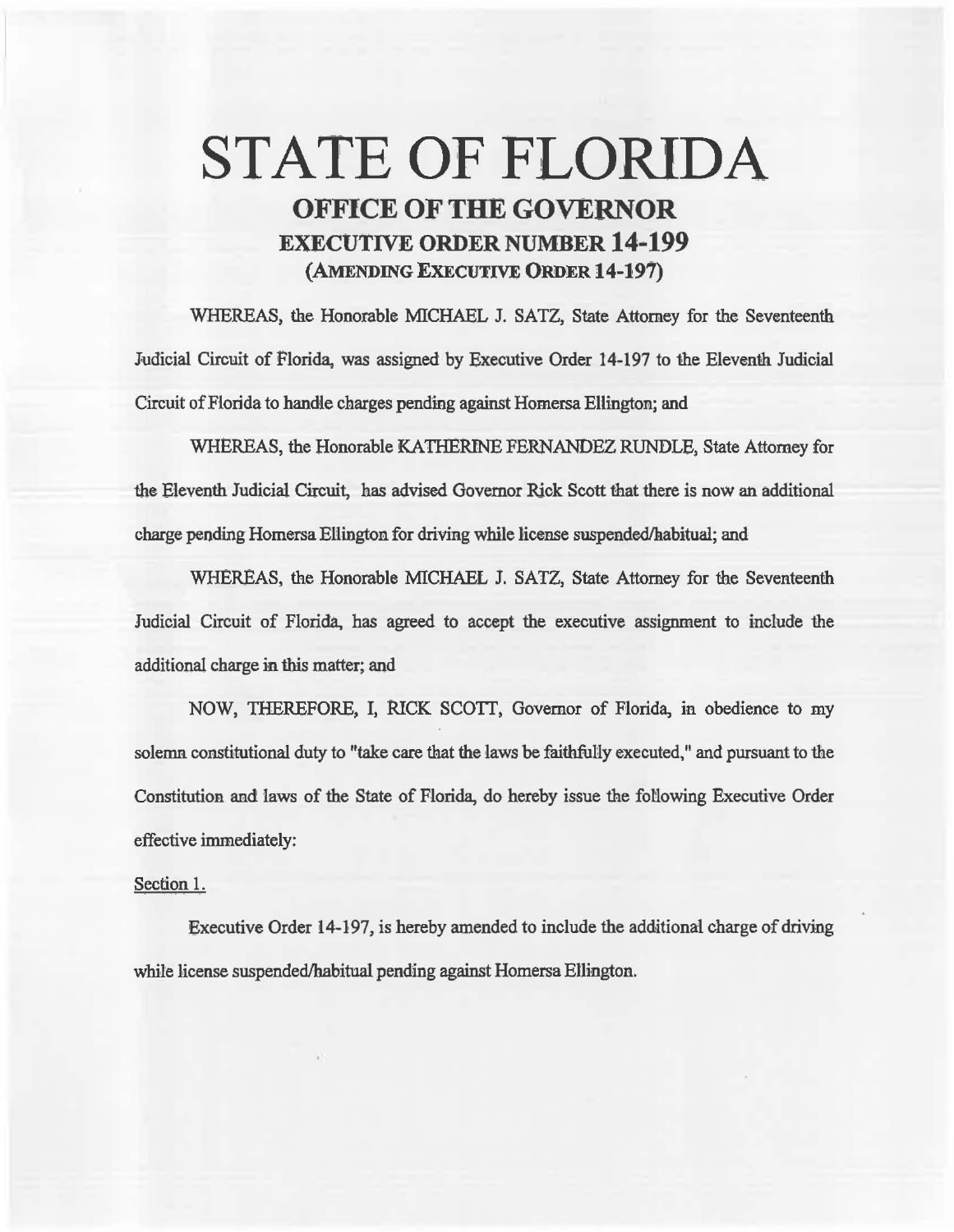## STATE OF FLORIDA OFFICE OF THE GOVERNOR EXECUTIVE ORDER NUMBER 14· 199 {AMENDING EXECUTIVE ORDER 14-197)

WHEREAS, the Honorable MICHAEL J. SATZ, State Attorney for the Seventeenth Judicial Circuit of Florida, was assigned by Executive Order 14-197 to the Eleventh Judicial Circuit of Florida to handle charges pend'ing against Homersa Ellington; and

WHBREAS, the Honorable KATHERINE FERNANDEZ RUNDLE, State Attorney for the Eleventh Judicial Circuit, has advised Governor Rick Scott that there is now an additional charge pending Homersa Ellington for driving while license suspended/habitual; and

WHEREAS, the Honorable MICHAEL J. SATZ, State Attorney for the Seventeenth Judicial Circuit of Florida, has agreed to accept the executive assignment to include the additional charge in this matter; and

NOW, THEREFORE, I, RICK SCOTT, Governor of Florida, in obedience to my solemn constitutional duty to "take care that the laws be faithfully executed," and pursuant to the Constitution and laws of the State of Florida, do hereby issue the fotlowing Executive Order effective immediately:

## Section 1.

Executive Order 14-197, is hereby amended to include the additional charge of driving while license suspended/habitual pending against Homersa Ellington.